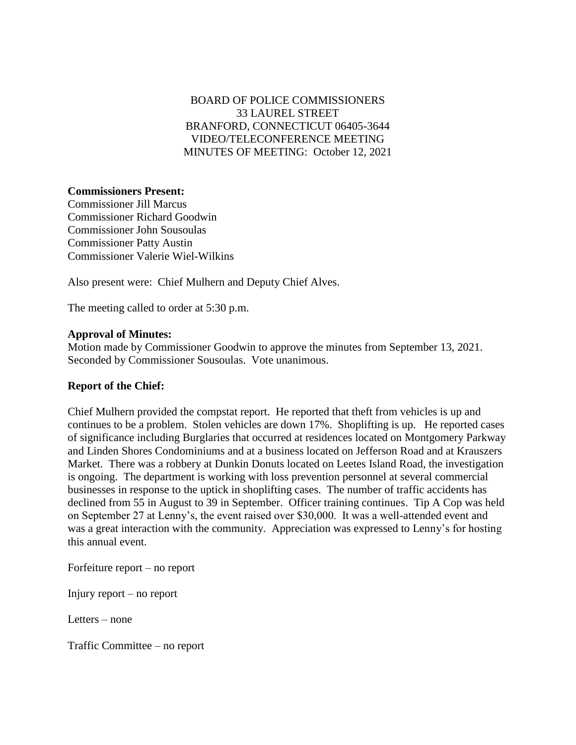## BOARD OF POLICE COMMISSIONERS 33 LAUREL STREET BRANFORD, CONNECTICUT 06405-3644 VIDEO/TELECONFERENCE MEETING MINUTES OF MEETING: October 12, 2021

## **Commissioners Present:**

Commissioner Jill Marcus Commissioner Richard Goodwin Commissioner John Sousoulas Commissioner Patty Austin Commissioner Valerie Wiel-Wilkins

Also present were: Chief Mulhern and Deputy Chief Alves.

The meeting called to order at 5:30 p.m.

## **Approval of Minutes:**

Motion made by Commissioner Goodwin to approve the minutes from September 13, 2021. Seconded by Commissioner Sousoulas. Vote unanimous.

## **Report of the Chief:**

Chief Mulhern provided the compstat report. He reported that theft from vehicles is up and continues to be a problem. Stolen vehicles are down 17%. Shoplifting is up. He reported cases of significance including Burglaries that occurred at residences located on Montgomery Parkway and Linden Shores Condominiums and at a business located on Jefferson Road and at Krauszers Market. There was a robbery at Dunkin Donuts located on Leetes Island Road, the investigation is ongoing. The department is working with loss prevention personnel at several commercial businesses in response to the uptick in shoplifting cases. The number of traffic accidents has declined from 55 in August to 39 in September. Officer training continues. Tip A Cop was held on September 27 at Lenny's, the event raised over \$30,000. It was a well-attended event and was a great interaction with the community. Appreciation was expressed to Lenny's for hosting this annual event.

Forfeiture report – no report

Injury report – no report

Letters – none

Traffic Committee – no report